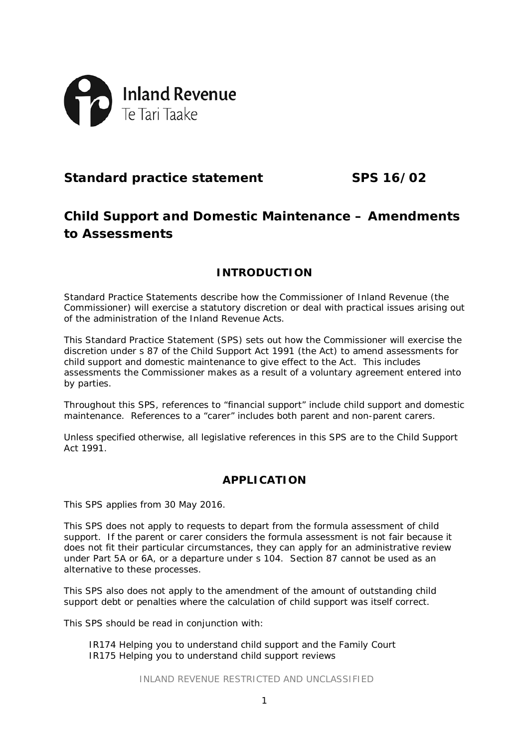

# **Standard practice statement SPS 16/02**

# **Child Support and Domestic Maintenance – Amendments to Assessments**

## **INTRODUCTION**

Standard Practice Statements describe how the Commissioner of Inland Revenue (the Commissioner) will exercise a statutory discretion or deal with practical issues arising out of the administration of the Inland Revenue Acts.

This Standard Practice Statement (SPS) sets out how the Commissioner will exercise the discretion under s 87 of the Child Support Act 1991 (the Act) to amend assessments for child support and domestic maintenance to give effect to the Act. This includes assessments the Commissioner makes as a result of a voluntary agreement entered into by parties.

Throughout this SPS, references to "financial support" include child support and domestic maintenance. References to a "carer" includes both parent and non-parent carers.

Unless specified otherwise, all legislative references in this SPS are to the Child Support Act 1991.

## **APPLICATION**

This SPS applies from 30 May 2016.

This SPS does not apply to requests to depart from the formula assessment of child support. If the parent or carer considers the formula assessment is not fair because it does not fit their particular circumstances, they can apply for an administrative review under Part 5A or 6A, or a departure under s 104. Section 87 cannot be used as an alternative to these processes.

This SPS also does not apply to the amendment of the amount of outstanding child support debt or penalties where the calculation of child support was itself correct.

This SPS should be read in conjunction with:

IR174 *Helping you to understand child support and the Family Court* IR175 *Helping you to understand child support reviews*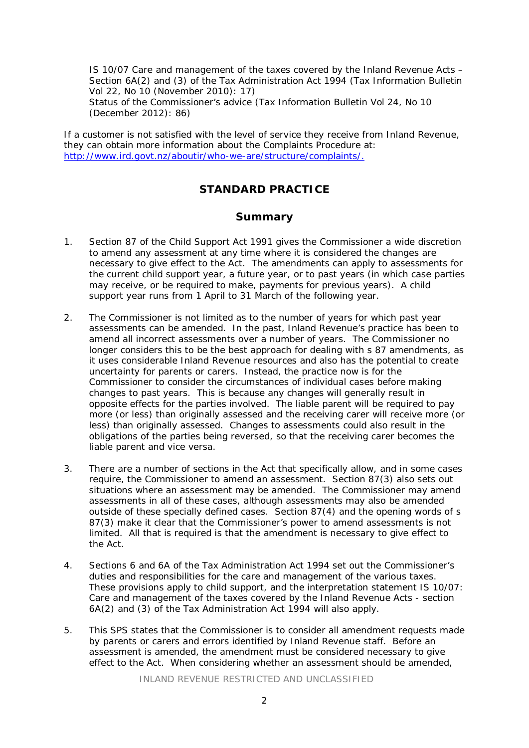IS 10/07 *Care and management of the taxes covered by the Inland Revenue Acts – Section 6A(2) and (3) of the Tax Administration Act 1994* (*Tax Information Bulletin* Vol 22, No 10 (November 2010): 17) *Status of the Commissioner's advice* (*Tax Information Bulletin* Vol 24, No 10 (December 2012): 86)

If a customer is not satisfied with the level of service they receive from Inland Revenue, they can obtain more information about the Complaints Procedure at: [http://www.ird.govt.nz/aboutir/who-we-are/structure/complaints/.](http://www.ird.govt.nz/aboutir/who-we-are/structure/complaints/)

## **STANDARD PRACTICE**

## **Summary**

- 1. Section 87 of the Child Support Act 1991 gives the Commissioner a wide discretion to amend any assessment at any time where it is considered the changes are necessary to give effect to the Act. The amendments can apply to assessments for the current child support year, a future year, or to past years (in which case parties may receive, or be required to make, payments for previous years). A child support year runs from 1 April to 31 March of the following year.
- 2. The Commissioner is not limited as to the number of years for which past year assessments can be amended. In the past, Inland Revenue's practice has been to amend all incorrect assessments over a number of years. The Commissioner no longer considers this to be the best approach for dealing with s 87 amendments, as it uses considerable Inland Revenue resources and also has the potential to create uncertainty for parents or carers. Instead, the practice now is for the Commissioner to consider the circumstances of individual cases before making changes to past years. This is because any changes will generally result in opposite effects for the parties involved. The liable parent will be required to pay more (or less) than originally assessed and the receiving carer will receive more (or less) than originally assessed. Changes to assessments could also result in the obligations of the parties being reversed, so that the receiving carer becomes the liable parent and vice versa.
- 3. There are a number of sections in the Act that specifically allow, and in some cases require, the Commissioner to amend an assessment. Section 87(3) also sets out situations where an assessment may be amended. The Commissioner may amend assessments in all of these cases, although assessments may also be amended outside of these specially defined cases. Section 87(4) and the opening words of s 87(3) make it clear that the Commissioner's power to amend assessments is not limited. All that is required is that the amendment is necessary to give effect to the Act.
- 4. Sections 6 and 6A of the Tax Administration Act 1994 set out the Commissioner's duties and responsibilities for the care and management of the various taxes. These provisions apply to child support, and the interpretation statement IS 10/07: *Care and management of the taxes covered by the Inland Revenue Acts - section 6A(2) and (3) of the Tax Administration Act 1994* will also apply.
- 5. This SPS states that the Commissioner is to consider all amendment requests made by parents or carers and errors identified by Inland Revenue staff. Before an assessment is amended, the amendment must be considered necessary to give effect to the Act. When considering whether an assessment should be amended,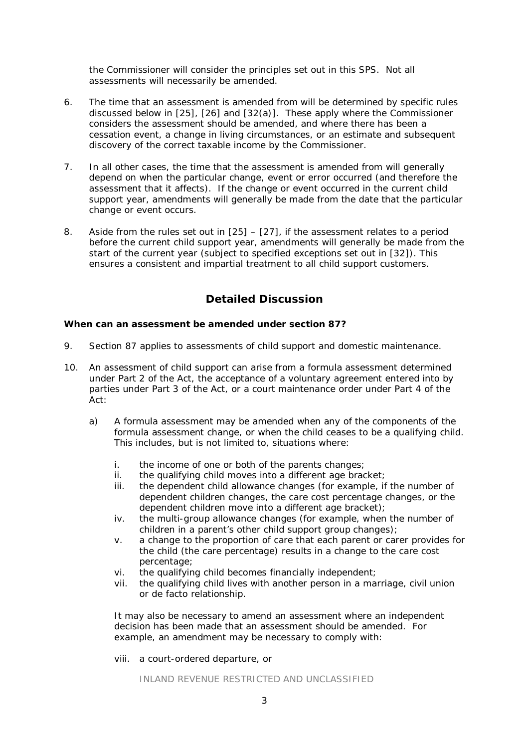the Commissioner will consider the principles set out in this SPS. Not all assessments will necessarily be amended.

- 6. The time that an assessment is amended from will be determined by specific rules discussed below in [25], [26] and [32(a)]. These apply where the Commissioner considers the assessment should be amended, and where there has been a cessation event, a change in living circumstances, or an estimate and subsequent discovery of the correct taxable income by the Commissioner.
- 7. In all other cases, the time that the assessment is amended from will generally depend on when the particular change, event or error occurred (and therefore the assessment that it affects). If the change or event occurred in the current child support year, amendments will generally be made from the date that the particular change or event occurs.
- 8. Aside from the rules set out in [25] [27], if the assessment relates to a period before the current child support year, amendments will generally be made from the start of the current year (subject to specified exceptions set out in [32]). This ensures a consistent and impartial treatment to all child support customers.

## **Detailed Discussion**

#### **When can an assessment be amended under section 87?**

- 9. Section 87 applies to assessments of child support and domestic maintenance.
- 10. An assessment of child support can arise from a formula assessment determined under Part 2 of the Act, the acceptance of a voluntary agreement entered into by parties under Part 3 of the Act, or a court maintenance order under Part 4 of the Act:
	- a) A formula assessment may be amended when any of the components of the formula assessment change, or when the child ceases to be a qualifying child. This includes, but is not limited to, situations where:
		- i. the income of one or both of the parents changes;
		- ii. the qualifying child moves into a different age bracket;
		- iii. the dependent child allowance changes (for example, if the number of dependent children changes, the care cost percentage changes, or the dependent children move into a different age bracket);
		- iv. the multi-group allowance changes (for example, when the number of children in a parent's other child support group changes);
		- v. a change to the proportion of care that each parent or carer provides for the child (the care percentage) results in a change to the care cost percentage;
		- vi. the qualifying child becomes financially independent;
		- vii. the qualifying child lives with another person in a marriage, civil union or de facto relationship.

It may also be necessary to amend an assessment where an independent decision has been made that an assessment should be amended. For example, an amendment may be necessary to comply with:

viii. a court-ordered departure, or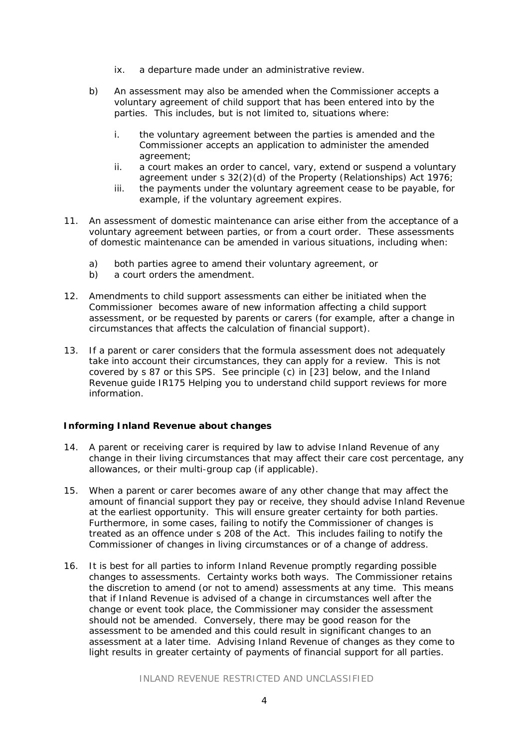- ix. a departure made under an administrative review.
- b) An assessment may also be amended when the Commissioner accepts a voluntary agreement of child support that has been entered into by the parties. This includes, but is not limited to, situations where:
	- i. the voluntary agreement between the parties is amended and the Commissioner accepts an application to administer the amended agreement;
	- ii. a court makes an order to cancel, vary, extend or suspend a voluntary agreement under s 32(2)(d) of the Property (Relationships) Act 1976;
	- iii. the payments under the voluntary agreement cease to be payable, for example, if the voluntary agreement expires.
- 11. An assessment of domestic maintenance can arise either from the acceptance of a voluntary agreement between parties, or from a court order. These assessments of domestic maintenance can be amended in various situations, including when:
	- a) both parties agree to amend their voluntary agreement, or
	- b) a court orders the amendment.
- 12. Amendments to child support assessments can either be initiated when the Commissioner becomes aware of new information affecting a child support assessment, or be requested by parents or carers (for example, after a change in circumstances that affects the calculation of financial support).
- 13. If a parent or carer considers that the formula assessment does not adequately take into account their circumstances, they can apply for a review. This is not covered by s 87 or this SPS. See principle (c) in [23] below, and the Inland Revenue guide IR175 *Helping you to understand child support reviews* for more information.

#### **Informing Inland Revenue about changes**

- 14. A parent or receiving carer is required by law to advise Inland Revenue of any change in their living circumstances that may affect their care cost percentage, any allowances, or their multi-group cap (if applicable).
- 15. When a parent or carer becomes aware of any other change that may affect the amount of financial support they pay or receive, they should advise Inland Revenue at the earliest opportunity. This will ensure greater certainty for both parties. Furthermore, in some cases, failing to notify the Commissioner of changes is treated as an offence under s 208 of the Act. This includes failing to notify the Commissioner of changes in living circumstances or of a change of address.
- 16. It is best for all parties to inform Inland Revenue promptly regarding possible changes to assessments. Certainty works both ways. The Commissioner retains the discretion to amend (or not to amend) assessments at any time. This means that if Inland Revenue is advised of a change in circumstances well after the change or event took place, the Commissioner may consider the assessment should not be amended. Conversely, there may be good reason for the assessment to be amended and this could result in significant changes to an assessment at a later time. Advising Inland Revenue of changes as they come to light results in greater certainty of payments of financial support for all parties.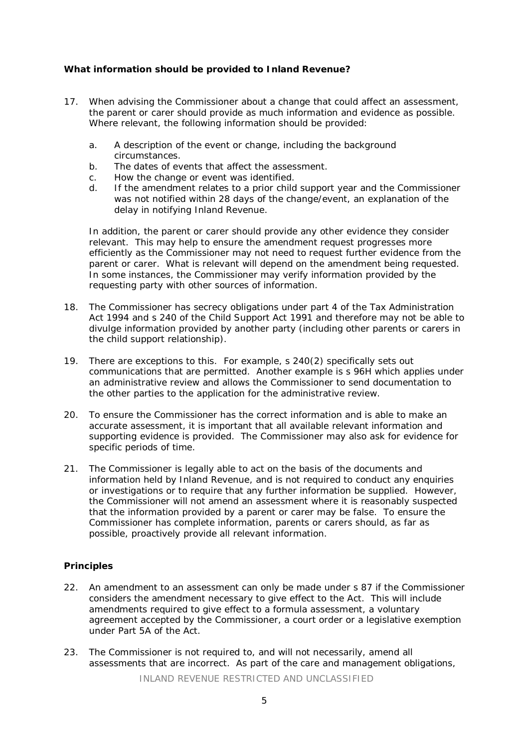#### **What information should be provided to Inland Revenue?**

- 17. When advising the Commissioner about a change that could affect an assessment, the parent or carer should provide as much information and evidence as possible. Where relevant, the following information should be provided:
	- a. A description of the event or change, including the background circumstances.
	- b. The dates of events that affect the assessment.
	- c. How the change or event was identified.
	- d. If the amendment relates to a prior child support year and the Commissioner was not notified within 28 days of the change/event, an explanation of the delay in notifying Inland Revenue.

In addition, the parent or carer should provide any other evidence they consider relevant. This may help to ensure the amendment request progresses more efficiently as the Commissioner may not need to request further evidence from the parent or carer. What is relevant will depend on the amendment being requested. In some instances, the Commissioner may verify information provided by the requesting party with other sources of information.

- 18. The Commissioner has secrecy obligations under part 4 of the Tax Administration Act 1994 and s 240 of the Child Support Act 1991 and therefore may not be able to divulge information provided by another party (including other parents or carers in the child support relationship).
- 19. There are exceptions to this. For example, s 240(2) specifically sets out communications that are permitted. Another example is s 96H which applies under an administrative review and allows the Commissioner to send documentation to the other parties to the application for the administrative review.
- 20. To ensure the Commissioner has the correct information and is able to make an accurate assessment, it is important that all available relevant information and supporting evidence is provided. The Commissioner may also ask for evidence for specific periods of time.
- 21. The Commissioner is legally able to act on the basis of the documents and information held by Inland Revenue, and is not required to conduct any enquiries or investigations or to require that any further information be supplied. However, the Commissioner will not amend an assessment where it is reasonably suspected that the information provided by a parent or carer may be false. To ensure the Commissioner has complete information, parents or carers should, as far as possible, proactively provide all relevant information.

#### **Principles**

- 22. An amendment to an assessment can only be made under s 87 if the Commissioner considers the amendment necessary to give effect to the Act. This will include amendments required to give effect to a formula assessment, a voluntary agreement accepted by the Commissioner, a court order or a legislative exemption under Part 5A of the Act.
- 23. The Commissioner is not required to, and will not necessarily, amend all assessments that are incorrect. As part of the care and management obligations,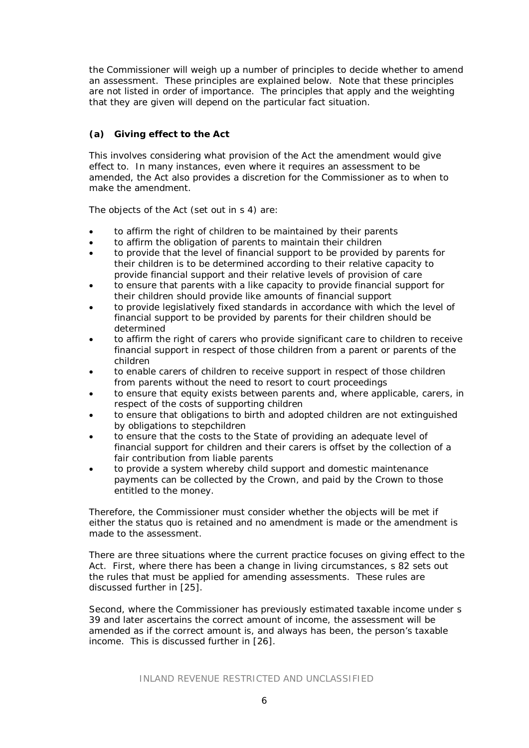the Commissioner will weigh up a number of principles to decide whether to amend an assessment. These principles are explained below. Note that these principles are not listed in order of importance. The principles that apply and the weighting that they are given will depend on the particular fact situation.

## *(a) Giving effect to the Act*

This involves considering what provision of the Act the amendment would give effect to. In many instances, even where it requires an assessment to be amended, the Act also provides a discretion for the Commissioner as to when to make the amendment.

The objects of the Act (set out in s 4) are:

- to affirm the right of children to be maintained by their parents
- to affirm the obligation of parents to maintain their children
- to provide that the level of financial support to be provided by parents for their children is to be determined according to their relative capacity to provide financial support and their relative levels of provision of care
- to ensure that parents with a like capacity to provide financial support for their children should provide like amounts of financial support
- to provide legislatively fixed standards in accordance with which the level of financial support to be provided by parents for their children should be determined
- to affirm the right of carers who provide significant care to children to receive financial support in respect of those children from a parent or parents of the children
- to enable carers of children to receive support in respect of those children from parents without the need to resort to court proceedings
- to ensure that equity exists between parents and, where applicable, carers, in respect of the costs of supporting children
- to ensure that obligations to birth and adopted children are not extinguished by obligations to stepchildren
- to ensure that the costs to the State of providing an adequate level of financial support for children and their carers is offset by the collection of a fair contribution from liable parents
- to provide a system whereby child support and domestic maintenance payments can be collected by the Crown, and paid by the Crown to those entitled to the money.

Therefore, the Commissioner must consider whether the objects will be met if either the status quo is retained and no amendment is made or the amendment is made to the assessment.

There are three situations where the current practice focuses on giving effect to the Act. First, where there has been a change in living circumstances, s 82 sets out the rules that must be applied for amending assessments. These rules are discussed further in [25].

Second, where the Commissioner has previously estimated taxable income under s 39 and later ascertains the correct amount of income, the assessment will be amended as if the correct amount is, and always has been, the person's taxable income. This is discussed further in [26].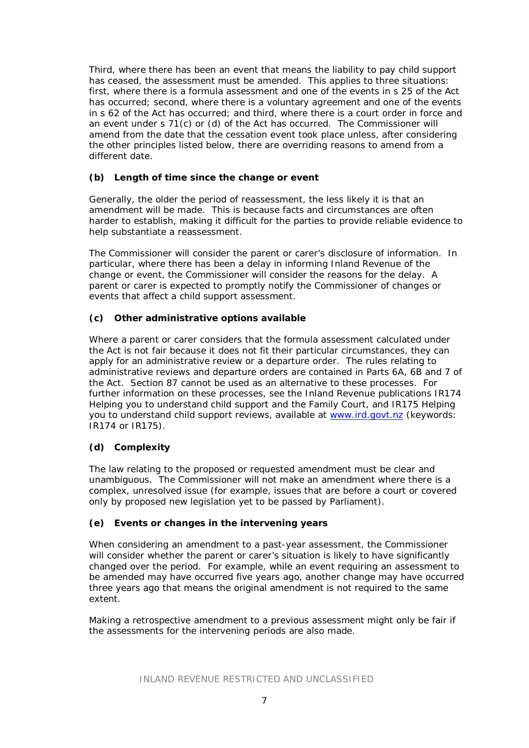Third, where there has been an event that means the liability to pay child support has ceased, the assessment must be amended. This applies to three situations: first, where there is a formula assessment and one of the events in s 25 of the Act has occurred; second, where there is a voluntary agreement and one of the events in s 62 of the Act has occurred; and third, where there is a court order in force and an event under s 71(c) or (d) of the Act has occurred. The Commissioner will amend from the date that the cessation event took place unless, after considering the other principles listed below, there are overriding reasons to amend from a different date.

## *(b) Length of time since the change or event*

Generally, the older the period of reassessment, the less likely it is that an amendment will be made. This is because facts and circumstances are often harder to establish, making it difficult for the parties to provide reliable evidence to help substantiate a reassessment.

The Commissioner will consider the parent or carer's disclosure of information. In particular, where there has been a delay in informing Inland Revenue of the change or event, the Commissioner will consider the reasons for the delay. A parent or carer is expected to promptly notify the Commissioner of changes or events that affect a child support assessment.

## *(c) Other administrative options available*

Where a parent or carer considers that the formula assessment calculated under the Act is not fair because it does not fit their particular circumstances, they can apply for an administrative review or a departure order. The rules relating to administrative reviews and departure orders are contained in Parts 6A, 6B and 7 of the Act. Section 87 cannot be used as an alternative to these processes. For further information on these processes, see the Inland Revenue publications IR174 *Helping you to understand child support and the Family Court,* and IR175 *Helping you to understand child support reviews*, available at [www.ird.govt.nz](http://www.ird.govt.nz/) (keywords: IR174 or IR175).

## *(d) Complexity*

The law relating to the proposed or requested amendment must be clear and unambiguous. The Commissioner will not make an amendment where there is a complex, unresolved issue (for example, issues that are before a court or covered only by proposed new legislation yet to be passed by Parliament).

## *(e) Events or changes in the intervening years*

When considering an amendment to a past-year assessment, the Commissioner will consider whether the parent or carer's situation is likely to have significantly changed over the period. For example, while an event requiring an assessment to be amended may have occurred five years ago, another change may have occurred three years ago that means the original amendment is not required to the same extent.

Making a retrospective amendment to a previous assessment might only be fair if the assessments for the intervening periods are also made.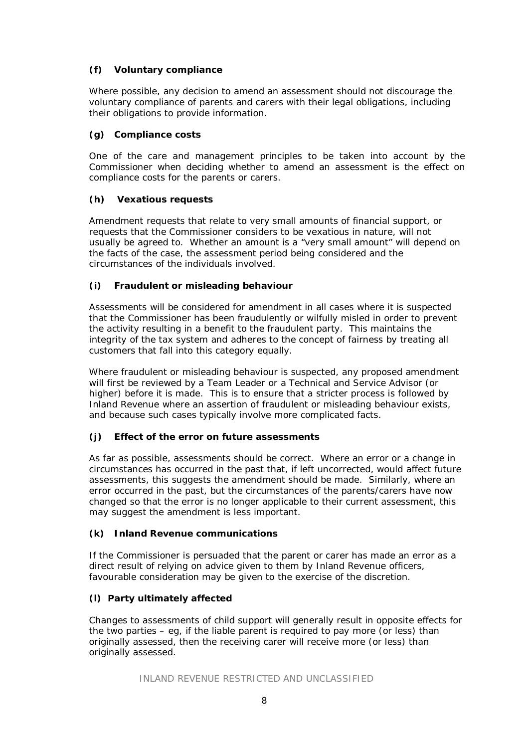## *(f) Voluntary compliance*

Where possible, any decision to amend an assessment should not discourage the voluntary compliance of parents and carers with their legal obligations, including their obligations to provide information.

## *(g) Compliance costs*

One of the care and management principles to be taken into account by the Commissioner when deciding whether to amend an assessment is the effect on compliance costs for the parents or carers.

## *(h) Vexatious requests*

Amendment requests that relate to very small amounts of financial support, or requests that the Commissioner considers to be vexatious in nature, will not usually be agreed to. Whether an amount is a "very small amount" will depend on the facts of the case, the assessment period being considered and the circumstances of the individuals involved.

## *(i) Fraudulent or misleading behaviour*

Assessments will be considered for amendment in all cases where it is suspected that the Commissioner has been fraudulently or wilfully misled in order to prevent the activity resulting in a benefit to the fraudulent party. This maintains the integrity of the tax system and adheres to the concept of fairness by treating all customers that fall into this category equally.

Where fraudulent or misleading behaviour is suspected, any proposed amendment will first be reviewed by a Team Leader or a Technical and Service Advisor (or higher) before it is made. This is to ensure that a stricter process is followed by Inland Revenue where an assertion of fraudulent or misleading behaviour exists, and because such cases typically involve more complicated facts.

## *(j) Effect of the error on future assessments*

As far as possible, assessments should be correct. Where an error or a change in circumstances has occurred in the past that, if left uncorrected, would affect future assessments, this suggests the amendment should be made. Similarly, where an error occurred in the past, but the circumstances of the parents/carers have now changed so that the error is no longer applicable to their current assessment, this may suggest the amendment is less important.

## *(k) Inland Revenue communications*

If the Commissioner is persuaded that the parent or carer has made an error as a direct result of relying on advice given to them by Inland Revenue officers, favourable consideration may be given to the exercise of the discretion.

## *(l) Party ultimately affected*

Changes to assessments of child support will generally result in opposite effects for the two parties – eg, if the liable parent is required to pay more (or less) than originally assessed, then the receiving carer will receive more (or less) than originally assessed.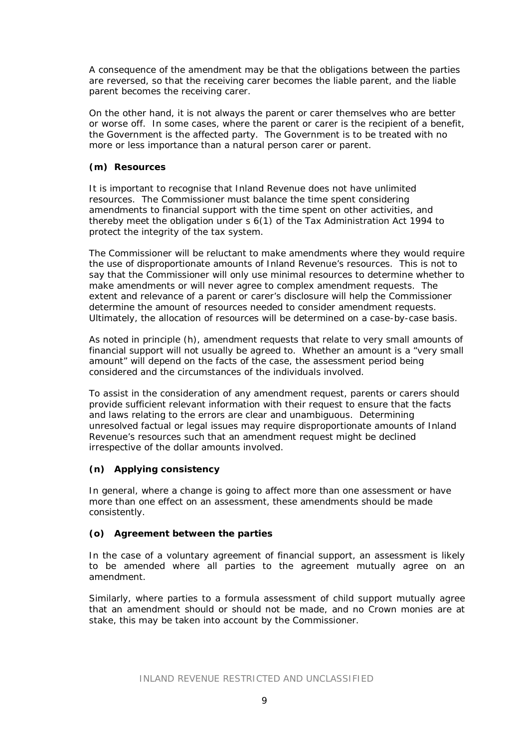A consequence of the amendment may be that the obligations between the parties are reversed, so that the receiving carer becomes the liable parent, and the liable parent becomes the receiving carer.

On the other hand, it is not always the parent or carer themselves who are better or worse off. In some cases, where the parent or carer is the recipient of a benefit, the Government is the affected party. The Government is to be treated with no more or less importance than a natural person carer or parent.

### *(m) Resources*

It is important to recognise that Inland Revenue does not have unlimited resources. The Commissioner must balance the time spent considering amendments to financial support with the time spent on other activities, and thereby meet the obligation under s 6(1) of the Tax Administration Act 1994 to protect the integrity of the tax system.

The Commissioner will be reluctant to make amendments where they would require the use of disproportionate amounts of Inland Revenue's resources. This is not to say that the Commissioner will only use minimal resources to determine whether to make amendments or will never agree to complex amendment requests. The extent and relevance of a parent or carer's disclosure will help the Commissioner determine the amount of resources needed to consider amendment requests. Ultimately, the allocation of resources will be determined on a case-by-case basis.

As noted in principle (h), amendment requests that relate to very small amounts of financial support will not usually be agreed to. Whether an amount is a "very small amount" will depend on the facts of the case, the assessment period being considered and the circumstances of the individuals involved.

To assist in the consideration of any amendment request, parents or carers should provide sufficient relevant information with their request to ensure that the facts and laws relating to the errors are clear and unambiguous. Determining unresolved factual or legal issues may require disproportionate amounts of Inland Revenue's resources such that an amendment request might be declined irrespective of the dollar amounts involved.

## *(n) Applying consistency*

In general, where a change is going to affect more than one assessment or have more than one effect on an assessment, these amendments should be made consistently.

#### *(o) Agreement between the parties*

In the case of a voluntary agreement of financial support, an assessment is likely to be amended where all parties to the agreement mutually agree on an amendment.

Similarly, where parties to a formula assessment of child support mutually agree that an amendment should or should not be made, and no Crown monies are at stake, this may be taken into account by the Commissioner.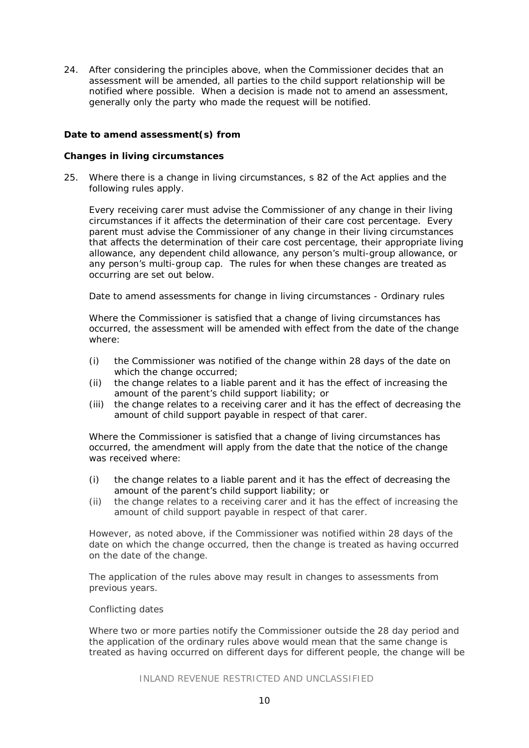24. After considering the principles above, when the Commissioner decides that an assessment will be amended, all parties to the child support relationship will be notified where possible. When a decision is made not to amend an assessment, generally only the party who made the request will be notified.

#### **Date to amend assessment(s) from**

#### *Changes in living circumstances*

25. Where there is a change in living circumstances, s 82 of the Act applies and the following rules apply.

Every receiving carer must advise the Commissioner of any change in their living circumstances if it affects the determination of their care cost percentage. Every parent must advise the Commissioner of any change in their living circumstances that affects the determination of their care cost percentage, their appropriate living allowance, any dependent child allowance, any person's multi-group allowance, or any person's multi-group cap. The rules for when these changes are treated as occurring are set out below.

*Date to amend assessments for change in living circumstances - Ordinary rules*

Where the Commissioner is satisfied that a change of living circumstances has occurred, the assessment will be amended with effect from *the date of the change* where:

- (i) the Commissioner was notified of the change within 28 days of the date on which the change occurred:
- (ii) the change relates to a liable parent and it has the effect of increasing the amount of the parent's child support liability; or
- (iii) the change relates to a receiving carer and it has the effect of decreasing the amount of child support payable in respect of that carer.

Where the Commissioner is satisfied that a change of living circumstances has occurred, the amendment will apply from *the date that the notice of the change was received* where:

- (i) the change relates to a liable parent and it has the effect of decreasing the amount of the parent's child support liability; or
- (ii) the change relates to a receiving carer and it has the effect of increasing the amount of child support payable in respect of that carer.

However, as noted above, if the Commissioner was notified within 28 days of the date on which the change occurred, then the change is treated as having occurred on the date of the change.

The application of the rules above may result in changes to assessments from previous years.

#### *Conflicting dates*

Where two or more parties notify the Commissioner outside the 28 day period and the application of the ordinary rules above would mean that the same change is treated as having occurred on different days for different people, the change will be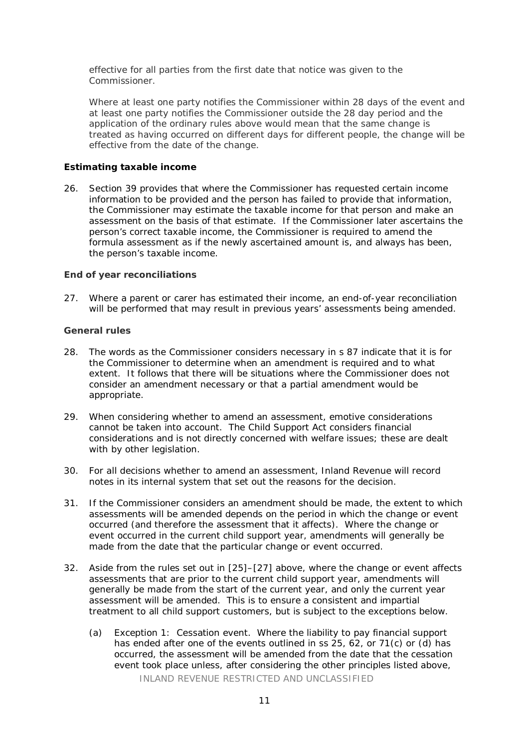effective for all parties from *the first date that notice was given to the Commissioner*.

Where at least one party notifies the Commissioner within 28 days of the event and at least one party notifies the Commissioner outside the 28 day period and the application of the ordinary rules above would mean that the same change is treated as having occurred on different days for different people, the change will be effective from *the date of the change*.

#### *Estimating taxable income*

26. Section 39 provides that where the Commissioner has requested certain income information to be provided and the person has failed to provide that information, the Commissioner may estimate the taxable income for that person and make an assessment on the basis of that estimate. If the Commissioner later ascertains the person's correct taxable income, the Commissioner is required to amend the formula assessment as if the newly ascertained amount is, and always has been, the person's taxable income.

#### *End of year reconciliations*

27. Where a parent or carer has estimated their income, an end-of-year reconciliation will be performed that may result in previous years' assessments being amended.

#### *General rules*

- 28. The words *as the Commissioner considers necessary* in s 87 indicate that it is for the Commissioner to determine when an amendment is required and to what extent. It follows that there will be situations where the Commissioner does not consider an amendment necessary or that a partial amendment would be appropriate.
- 29. When considering whether to amend an assessment, emotive considerations cannot be taken into account. The Child Support Act considers financial considerations and is not directly concerned with welfare issues; these are dealt with by other legislation.
- 30. For all decisions whether to amend an assessment, Inland Revenue will record notes in its internal system that set out the reasons for the decision.
- 31. If the Commissioner considers an amendment should be made, the extent to which assessments will be amended depends on the period in which the change or event occurred (and therefore the assessment that it affects). Where the change or event occurred in the current child support year, amendments will generally be made from the date that the particular change or event occurred.
- 32. Aside from the rules set out in [25]–[27] above, where the change or event affects assessments that are prior to the current child support year, amendments will generally be made from the start of the current year, and only the current year assessment will be amended. This is to ensure a consistent and impartial treatment to all child support customers, but is subject to the exceptions below.
	- (a) Exception 1: Cessation event. Where the liability to pay financial support has ended after one of the events outlined in ss 25, 62, or 71(c) or (d) has occurred, the assessment will be amended from the date that the cessation event took place unless, after considering the other principles listed above,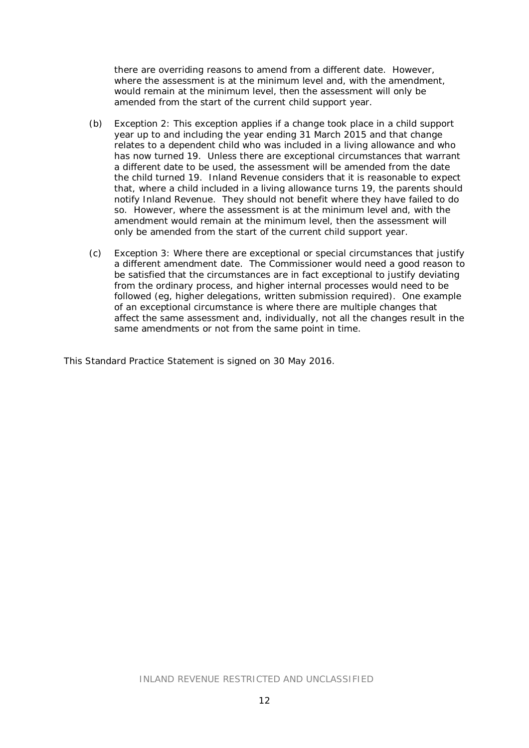there are overriding reasons to amend from a different date. However, where the assessment is at the minimum level and, with the amendment, would remain at the minimum level, then the assessment will only be amended from the start of the current child support year.

- (b) Exception 2: This exception applies if a change took place in a child support year up to and including the year ending 31 March 2015 and that change relates to a dependent child who was included in a living allowance and who has now turned 19. Unless there are exceptional circumstances that warrant a different date to be used, the assessment will be amended from the date the child turned 19. Inland Revenue considers that it is reasonable to expect that, where a child included in a living allowance turns 19, the parents should notify Inland Revenue. They should not benefit where they have failed to do so. However, where the assessment is at the minimum level and, with the amendment would remain at the minimum level, then the assessment will only be amended from the start of the current child support year.
- (c) Exception 3: Where there are exceptional or special circumstances that justify a different amendment date. The Commissioner would need a good reason to be satisfied that the circumstances are in fact exceptional to justify deviating from the ordinary process, and higher internal processes would need to be followed (eg, higher delegations, written submission required). One example of an exceptional circumstance is where there are multiple changes that affect the same assessment and, individually, not all the changes result in the same amendments or not from the same point in time.

This Standard Practice Statement is signed on 30 May 2016.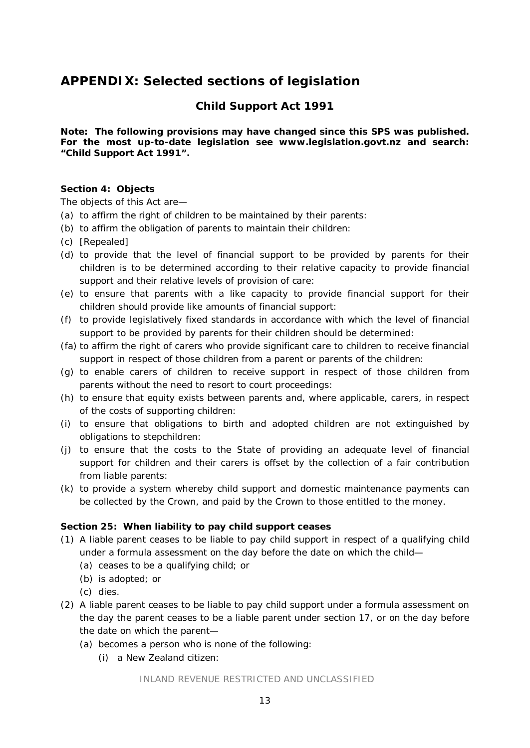# **APPENDIX: Selected sections of legislation**

## **Child Support Act 1991**

**Note: The following provisions may have changed since this SPS was published. For the most up-to-date legislation see www.legislation.govt.nz and search: "Child Support Act 1991".**

#### **Section 4: Objects**

The objects of this Act are—

- (a) to affirm the right of children to be maintained by their parents:
- (b) to affirm the obligation of parents to maintain their children:
- (c) [Repealed]
- (d) to provide that the level of financial support to be provided by parents for their children is to be determined according to their relative capacity to provide financial support and their relative levels of provision of care:
- (e) to ensure that parents with a like capacity to provide financial support for their children should provide like amounts of financial support:
- (f) to provide legislatively fixed standards in accordance with which the level of financial support to be provided by parents for their children should be determined:
- (fa) to affirm the right of carers who provide significant care to children to receive financial support in respect of those children from a parent or parents of the children:
- (g) to enable carers of children to receive support in respect of those children from parents without the need to resort to court proceedings:
- (h) to ensure that equity exists between parents and, where applicable, carers, in respect of the costs of supporting children:
- (i) to ensure that obligations to birth and adopted children are not extinguished by obligations to stepchildren:
- (j) to ensure that the costs to the State of providing an adequate level of financial support for children and their carers is offset by the collection of a fair contribution from liable parents:
- (k) to provide a system whereby child support and domestic maintenance payments can be collected by the Crown, and paid by the Crown to those entitled to the money.

#### **Section 25: When liability to pay child support ceases**

- (1) A liable parent ceases to be liable to pay child support in respect of a qualifying child under a formula assessment on the day before the date on which the child—
	- (a) ceases to be a qualifying child; or
	- (b) is adopted; or
	- (c) dies.
- (2) A liable parent ceases to be liable to pay child support under a formula assessment on the day the parent ceases to be a liable parent under [section 17,](http://www.legislation.govt.nz/act/public/1991/0142/latest/link.aspx?search=ts_act%40bill%40regulation%40deemedreg_Child+Support+Act+1991_resel_25_a&p=1&id=DLM253548%23DLM253548) or on the day before the date on which the parent—
	- (a) becomes a person who is none of the following:
		- (i) a New Zealand citizen: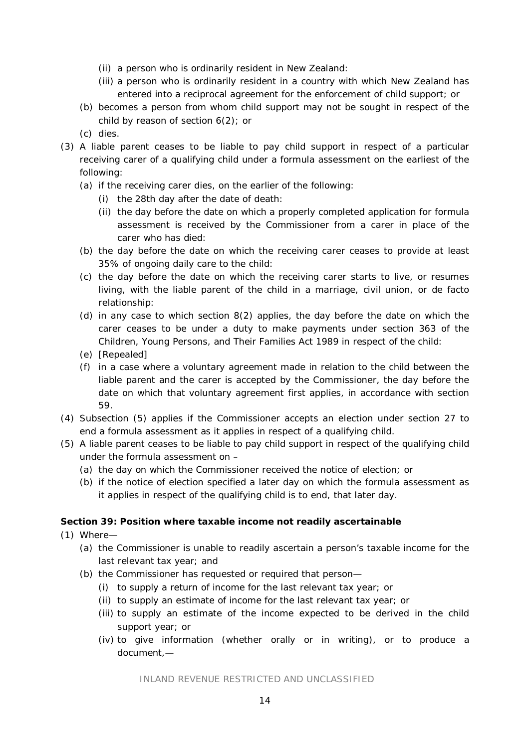- (ii) a person who is ordinarily resident in New Zealand:
- (iii) a person who is ordinarily resident in a country with which New Zealand has entered into a reciprocal agreement for the enforcement of child support; or
- (b) becomes a person from whom child support may not be sought in respect of the child by reason of [section 6\(2\);](http://www.legislation.govt.nz/act/public/1991/0142/latest/link.aspx?search=ts_act%40bill%40regulation%40deemedreg_Child+Support+Act+1991_resel_25_a&p=1&id=DLM253517%23DLM253517) or
- (c) dies.
- (3) A liable parent ceases to be liable to pay child support in respect of a particular receiving carer of a qualifying child under a formula assessment on the earliest of the following:
	- (a) if the receiving carer dies, on the earlier of the following:
		- (i) the 28th day after the date of death:
		- (ii) the day before the date on which a properly completed application for formula assessment is received by the Commissioner from a carer in place of the carer who has died:
	- (b) the day before the date on which the receiving carer ceases to provide at least 35% of ongoing daily care to the child:
	- (c) the day before the date on which the receiving carer starts to live, or resumes living, with the liable parent of the child in a marriage, civil union, or de facto relationship:
	- (d) in any case to which [section 8\(2\)](http://www.legislation.govt.nz/act/public/1991/0142/latest/link.aspx?search=ts_act%40bill%40regulation%40deemedreg_Child+Support+Act+1991_resel_25_a&p=1&id=DLM253527%23DLM253527) applies, the day before the date on which the carer ceases to be under a duty to make payments under [section](http://www.legislation.govt.nz/act/public/1991/0142/latest/link.aspx?search=ts_act%40bill%40regulation%40deemedreg_Child+Support+Act+1991_resel_25_a&p=1&id=DLM154316%23DLM154316) 363 of the Children, Young Persons, and Their Families Act 1989 in respect of the child:
	- (e) [Repealed]
	- (f) in a case where a voluntary agreement made in relation to the child between the liable parent and the carer is accepted by the Commissioner, the day before the date on which that voluntary agreement first applies, in accordance with [section](http://www.legislation.govt.nz/act/public/1991/0142/latest/link.aspx?search=ts_act%40bill%40regulation%40deemedreg_Child+Support+Act+1991_resel_25_a&p=1&id=DLM254096%23DLM254096)  [59.](http://www.legislation.govt.nz/act/public/1991/0142/latest/link.aspx?search=ts_act%40bill%40regulation%40deemedreg_Child+Support+Act+1991_resel_25_a&p=1&id=DLM254096%23DLM254096)
- (4) Subsection (5) applies if the Commissioner accepts an election under section 27 to end a formula assessment as it applies in respect of a qualifying child.
- (5) A liable parent ceases to be liable to pay child support in respect of the qualifying child under the formula assessment on –
	- (a) the day on which the Commissioner received the notice of election; or
	- (b) if the notice of election specified a later day on which the formula assessment as it applies in respect of the qualifying child is to end, that later day.

#### **Section 39: Position where taxable income not readily ascertainable**

- (1) Where—
	- (a) the Commissioner is unable to readily ascertain a person's taxable income for the last relevant tax year; and
	- (b) the Commissioner has requested or required that person—
		- (i) to supply a return of income for the last relevant tax year; or
		- (ii) to supply an estimate of income for the last relevant tax year; or
		- (iii) to supply an estimate of the income expected to be derived in the child support year; or
		- (iv) to give information (whether orally or in writing), or to produce a document,—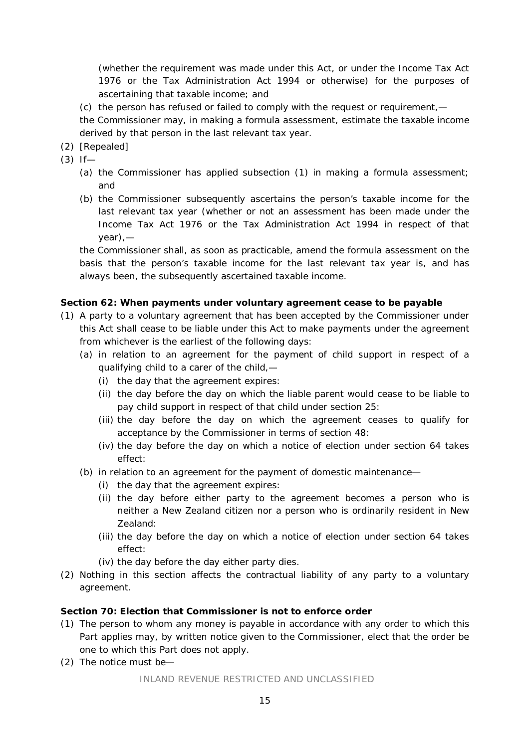(whether the requirement was made under this Act, or under the Income Tax Act 1976 or the [Tax Administration Act 1994](http://legislation.govt.nz/act/public/1991/0142/latest/link.aspx?search=sw_096be8ed811280f7_._25_se&p=1&id=DLM348342) or otherwise) for the purposes of ascertaining that taxable income; and

- (c) the person has refused or failed to comply with the request or requirement,—
- the Commissioner may, in making a formula assessment, estimate the taxable income derived by that person in the last relevant tax year.
- (2) [Repealed]
- (3) If—
	- (a) the Commissioner has applied subsection (1) in making a formula assessment; and
	- (b) the Commissioner subsequently ascertains the person's taxable income for the last relevant tax year (whether or not an assessment has been made under the Income Tax Act 1976 or the [Tax Administration Act 1994](http://legislation.govt.nz/act/public/1991/0142/latest/link.aspx?search=sw_096be8ed811280f7_._25_se&p=1&id=DLM348342) in respect of that year),—

the Commissioner shall, as soon as practicable, amend the formula assessment on the basis that the person's taxable income for the last relevant tax year is, and has always been, the subsequently ascertained taxable income.

#### **Section 62: When payments under voluntary agreement cease to be payable**

- (1) A party to a voluntary agreement that has been accepted by the Commissioner under this Act shall cease to be liable under this Act to make payments under the agreement from whichever is the earliest of the following days:
	- (a) in relation to an agreement for the payment of child support in respect of a qualifying child to a carer of the child,—
		- (i) the day that the agreement expires:
		- (ii) the day before the day on which the liable parent would cease to be liable to pay child support in respect of that child under [section 25:](http://www.legislation.govt.nz/act/public/1991/0142/latest/link.aspx?search=ts_act%40bill%40regulation%40deemedreg_Child+Support+Act+1991_resel_25_a&p=1&id=DLM253561%23DLM253561)
		- (iii) the day before the day on which the agreement ceases to qualify for acceptance by the Commissioner in terms of [section 48:](http://www.legislation.govt.nz/act/public/1991/0142/latest/link.aspx?search=ts_act%40bill%40regulation%40deemedreg_Child+Support+Act+1991_resel_25_a&p=1&id=DLM254078%23DLM254078)
		- (iv) the day before the day on which a notice of election under [section 64](http://www.legislation.govt.nz/act/public/1991/0142/latest/link.aspx?search=ts_act%40bill%40regulation%40deemedreg_Child+Support+Act+1991_resel_25_a&p=1&id=DLM254311%23DLM254311) takes effect:
	- (b) in relation to an agreement for the payment of domestic maintenance—
		- (i) the day that the agreement expires:
		- (ii) the day before either party to the agreement becomes a person who is neither a New Zealand citizen nor a person who is ordinarily resident in New Zealand:
		- (iii) the day before the day on which a notice of election under [section 64](http://www.legislation.govt.nz/act/public/1991/0142/latest/link.aspx?search=ts_act%40bill%40regulation%40deemedreg_Child+Support+Act+1991_resel_25_a&p=1&id=DLM254311%23DLM254311) takes effect:
		- (iv) the day before the day either party dies.
- (2) Nothing in this section affects the contractual liability of any party to a voluntary agreement.

#### **Section 70: Election that Commissioner is not to enforce order**

- (1) The person to whom any money is payable in accordance with any order to which this Part applies may, by written notice given to the Commissioner, elect that the order be one to which this Part does not apply.
- (2) The notice must be—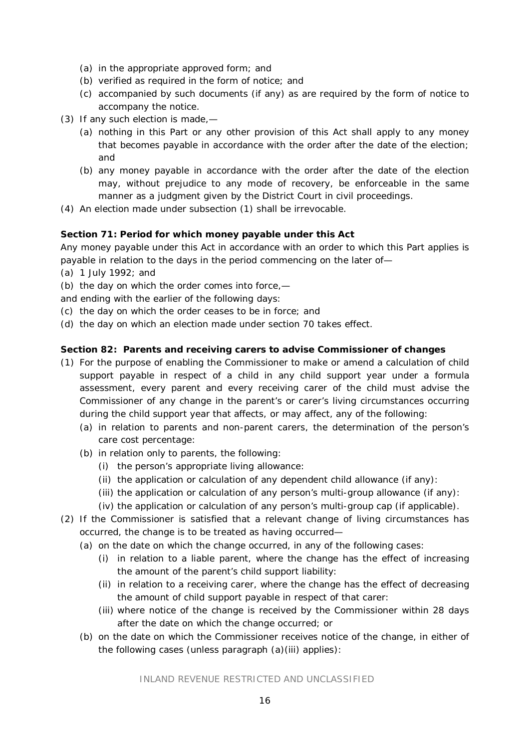- (a) in the appropriate approved form; and
- (b) verified as required in the form of notice; and
- (c) accompanied by such documents (if any) as are required by the form of notice to accompany the notice.
- (3) If any such election is made,—
	- (a) nothing in this Part or any other provision of this Act shall apply to any money that becomes payable in accordance with the order after the date of the election; and
	- (b) any money payable in accordance with the order after the date of the election may, without prejudice to any mode of recovery, be enforceable in the same manner as a judgment given by the District Court in civil proceedings.
- (4) An election made under subsection (1) shall be irrevocable.

## **Section 71: Period for which money payable under this Act**

Any money payable under this Act in accordance with an order to which this Part applies is payable in relation to the days in the period commencing on the later of—

- (a) 1 July 1992; and
- (b) the day on which the order comes into force,—

and ending with the earlier of the following days:

- (c) the day on which the order ceases to be in force; and
- (d) the day on which an election made under [section 70](http://legislation.govt.nz/act/public/1991/0142/latest/link.aspx?id=DLM254328%23DLM254328) takes effect.

## **Section 82: Parents and receiving carers to advise Commissioner of changes**

- (1) For the purpose of enabling the Commissioner to make or amend a calculation of child support payable in respect of a child in any child support year under a formula assessment, every parent and every receiving carer of the child must advise the Commissioner of any change in the parent's or carer's living circumstances occurring during the child support year that affects, or may affect, any of the following:
	- (a) in relation to parents and non-parent carers, the determination of the person's care cost percentage:
	- (b) in relation only to parents, the following:
		- (i) the person's appropriate living allowance:
		- (ii) the application or calculation of any dependent child allowance (if any):
		- (iii) the application or calculation of any person's multi-group allowance (if any):
		- (iv) the application or calculation of any person's multi-group cap (if applicable).
- (2) If the Commissioner is satisfied that a relevant change of living circumstances has occurred, the change is to be treated as having occurred—
	- (a) on the date on which the change occurred, in any of the following cases:
		- (i) in relation to a liable parent, where the change has the effect of increasing the amount of the parent's child support liability:
		- (ii) in relation to a receiving carer, where the change has the effect of decreasing the amount of child support payable in respect of that carer:
		- (iii) where notice of the change is received by the Commissioner within 28 days after the date on which the change occurred; or
	- (b) on the date on which the Commissioner receives notice of the change, in either of the following cases (unless paragraph (a)(iii) applies):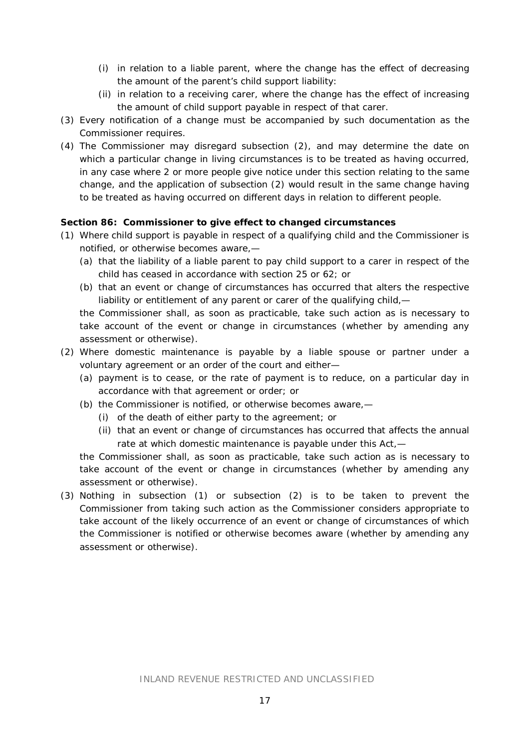- (i) in relation to a liable parent, where the change has the effect of decreasing the amount of the parent's child support liability:
- (ii) in relation to a receiving carer, where the change has the effect of increasing the amount of child support payable in respect of that carer.
- (3) Every notification of a change must be accompanied by such documentation as the Commissioner requires.
- (4) The Commissioner may disregard subsection (2), and may determine the date on which a particular change in living circumstances is to be treated as having occurred, in any case where 2 or more people give notice under this section relating to the same change, and the application of subsection (2) would result in the same change having to be treated as having occurred on different days in relation to different people.

## **Section 86: Commissioner to give effect to changed circumstances**

- (1) Where child support is payable in respect of a qualifying child and the Commissioner is notified, or otherwise becomes aware,—
	- (a) that the liability of a liable parent to pay child support to a carer in respect of the child has ceased in accordance with [section 25](http://www.legislation.govt.nz/act/public/1991/0142/latest/link.aspx?search=ts_act%40bill%40regulation%40deemedreg_Child+Support+Act+1991_resel_25_a&p=1&id=DLM253561%23DLM253561) or [62;](http://www.legislation.govt.nz/act/public/1991/0142/latest/link.aspx?search=ts_act%40bill%40regulation%40deemedreg_Child+Support+Act+1991_resel_25_a&p=1&id=DLM254306%23DLM254306) or
	- (b) that an event or change of circumstances has occurred that alters the respective liability or entitlement of any parent or carer of the qualifying child,—

the Commissioner shall, as soon as practicable, take such action as is necessary to take account of the event or change in circumstances (whether by amending any assessment or otherwise).

- (2) Where domestic maintenance is payable by a liable spouse or partner under a voluntary agreement or an order of the court and either—
	- (a) payment is to cease, or the rate of payment is to reduce, on a particular day in accordance with that agreement or order; or
	- (b) the Commissioner is notified, or otherwise becomes aware,—
		- (i) of the death of either party to the agreement; or
		- (ii) that an event or change of circumstances has occurred that affects the annual rate at which domestic maintenance is payable under this Act,—

the Commissioner shall, as soon as practicable, take such action as is necessary to take account of the event or change in circumstances (whether by amending any assessment or otherwise).

(3) Nothing in subsection (1) or subsection (2) is to be taken to prevent the Commissioner from taking such action as the Commissioner considers appropriate to take account of the likely occurrence of an event or change of circumstances of which the Commissioner is notified or otherwise becomes aware (whether by amending any assessment or otherwise).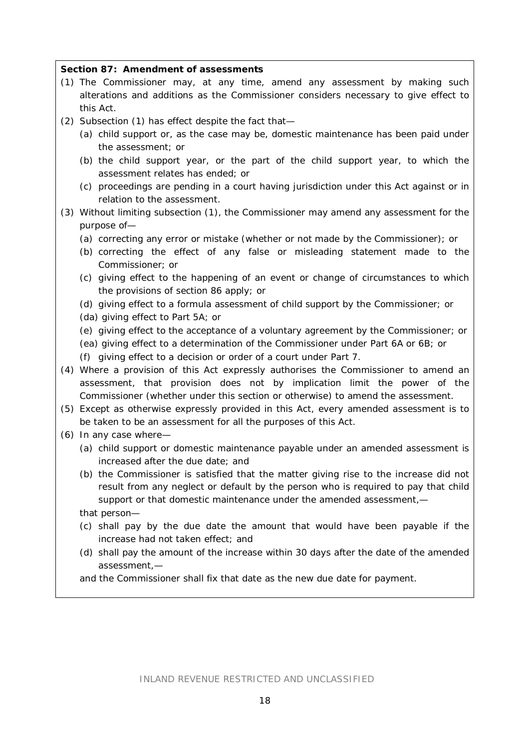#### **Section 87: Amendment of assessments**

- (1) The Commissioner may, at any time, amend any assessment by making such alterations and additions as the Commissioner considers necessary to give effect to this Act.
- (2) Subsection (1) has effect despite the fact that—
	- (a) child support or, as the case may be, domestic maintenance has been paid under the assessment; or
	- (b) the child support year, or the part of the child support year, to which the assessment relates has ended; or
	- (c) proceedings are pending in a court having jurisdiction under this Act against or in relation to the assessment.
- (3) Without limiting subsection (1), the Commissioner may amend any assessment for the purpose of—
	- (a) correcting any error or mistake (whether or not made by the Commissioner); or
	- (b) correcting the effect of any false or misleading statement made to the Commissioner; or
	- (c) giving effect to the happening of an event or change of circumstances to which the provisions of [section 86](http://www.legislation.govt.nz/act/public/1991/0142/latest/link.aspx?search=ts_act%40bill%40regulation%40deemedreg_Child+Support+Act+1991_resel_25_a&p=1&id=DLM254398%23DLM254398) apply; or
	- (d) giving effect to a formula assessment of child support by the Commissioner; or
	- (da) giving effect to [Part 5A;](http://www.legislation.govt.nz/act/public/1991/0142/latest/link.aspx?search=ts_act%40bill%40regulation%40deemedreg_Child+Support+Act+1991_resel_25_a&p=1&id=DLM254712%23DLM254712) or
	- (e) giving effect to the acceptance of a voluntary agreement by the Commissioner; or
	- (ea) giving effect to a determination of the Commissioner under [Part 6A](http://www.legislation.govt.nz/act/public/1991/0142/latest/link.aspx?search=ts_act%40bill%40regulation%40deemedreg_Child+Support+Act+1991_resel_25_a&p=1&id=DLM255138%23DLM255138) or [6B;](http://www.legislation.govt.nz/act/public/1991/0142/latest/link.aspx?search=ts_act%40bill%40regulation%40deemedreg_Child+Support+Act+1991_resel_25_a&p=1&id=DLM255179%23DLM255179) or
	- (f) giving effect to a decision or order of a court under [Part 7.](http://www.legislation.govt.nz/act/public/1991/0142/latest/link.aspx?search=ts_act%40bill%40regulation%40deemedreg_Child+Support+Act+1991_resel_25_a&p=1&id=DLM255315%23DLM255315)
- (4) Where a provision of this Act expressly authorises the Commissioner to amend an assessment, that provision does not by implication limit the power of the Commissioner (whether under this section or otherwise) to amend the assessment.
- (5) Except as otherwise expressly provided in this Act, every amended assessment is to be taken to be an assessment for all the purposes of this Act.
- (6) In any case where—
	- (a) child support or domestic maintenance payable under an amended assessment is increased after the due date; and
	- (b) the Commissioner is satisfied that the matter giving rise to the increase did not result from any neglect or default by the person who is required to pay that child support or that domestic maintenance under the amended assessment,—
	- that person—
	- (c) shall pay by the due date the amount that would have been payable if the increase had not taken effect; and
	- (d) shall pay the amount of the increase within 30 days after the date of the amended assessment,—

and the Commissioner shall fix that date as the new due date for payment.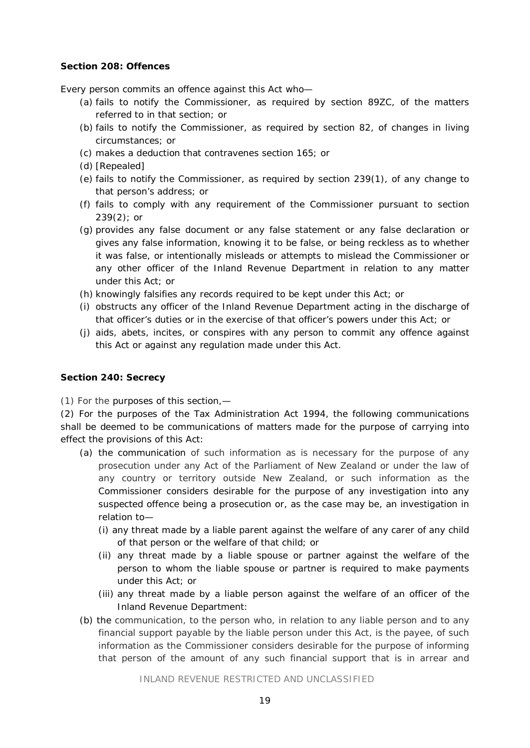#### **Section 208: Offences**

Every person commits an offence against this Act who—

- (a) fails to notify the Commissioner, as required by [section 89ZC,](http://legislation.govt.nz/act/public/1991/0142/latest/link.aspx?id=DLM255114%23DLM255114) of the matters referred to in that section; or
- (b) fails to notify the Commissioner, as required by [section 82,](http://legislation.govt.nz/act/public/1991/0142/latest/link.aspx?id=DLM254391%23DLM254391) of changes in living circumstances; or
- (c) makes a deduction that contravenes [section 165;](http://legislation.govt.nz/act/public/1991/0142/latest/link.aspx?id=DLM256577%23DLM256577) or
- (d) [Repealed]
- (e) fails to notify the Commissioner, as required by [section 239\(1\),](http://legislation.govt.nz/act/public/1991/0142/latest/link.aspx?id=DLM257365%23DLM257365) of any change to that person's address; or
- (f) fails to comply with any requirement of the Commissioner pursuant to [section](http://legislation.govt.nz/act/public/1991/0142/latest/link.aspx?id=DLM257365%23DLM257365)  [239\(2\);](http://legislation.govt.nz/act/public/1991/0142/latest/link.aspx?id=DLM257365%23DLM257365) or
- (g) provides any false document or any false statement or any false declaration or gives any false information, knowing it to be false, or being reckless as to whether it was false, or intentionally misleads or attempts to mislead the Commissioner or any other officer of the Inland Revenue Department in relation to any matter under this Act; or
- (h) knowingly falsifies any records required to be kept under this Act; or
- (i) obstructs any officer of the Inland Revenue Department acting in the discharge of that officer's duties or in the exercise of that officer's powers under this Act; or
- (j) aids, abets, incites, or conspires with any person to commit any offence against this Act or against any regulation made under this Act.

#### **Section 240: Secrecy**

(1) For the purposes of this section,—

(2) For the purposes of the [Tax Administration Act 1994,](http://legislation.govt.nz/act/public/1991/0142/latest/link.aspx?id=DLM348342) the following communications shall be deemed to be communications of matters made for the purpose of carrying into effect the provisions of this Act:

- (a) the communication of such information as is necessary for the purpose of any prosecution under any Act of the Parliament of New Zealand or under the law of any country or territory outside New Zealand, or such information as the Commissioner considers desirable for the purpose of any investigation into any suspected offence being a prosecution or, as the case may be, an investigation in relation to—
	- (i) any threat made by a liable parent against the welfare of any carer of any child of that person or the welfare of that child; or
	- (ii) any threat made by a liable spouse or partner against the welfare of the person to whom the liable spouse or partner is required to make payments under this Act; or
	- (iii) any threat made by a liable person against the welfare of an officer of the Inland Revenue Department:
- (b) the communication, to the person who, in relation to any liable person and to any financial support payable by the liable person under this Act, is the payee, of such information as the Commissioner considers desirable for the purpose of informing that person of the amount of any such financial support that is in arrear and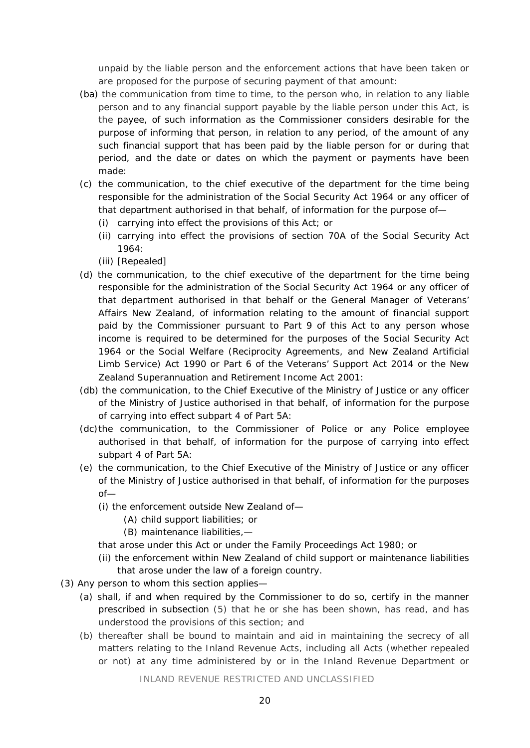unpaid by the liable person and the enforcement actions that have been taken or are proposed for the purpose of securing payment of that amount:

- (ba) the communication from time to time, to the person who, in relation to any liable person and to any financial support payable by the liable person under this Act, is the payee, of such information as the Commissioner considers desirable for the purpose of informing that person, in relation to any period, of the amount of any such financial support that has been paid by the liable person for or during that period, and the date or dates on which the payment or payments have been made:
- (c) the communication, to the chief executive of the department for the time being responsible for the administration of the [Social Security Act 1964](http://legislation.govt.nz/act/public/1991/0142/latest/link.aspx?id=DLM359106) or any officer of that department authorised in that behalf, of information for the purpose of—
	- (i) carrying into effect the provisions of this Act; or
	- (ii) carrying into effect the provisions of [section 70A](http://legislation.govt.nz/act/public/1991/0142/latest/link.aspx?id=DLM363583%23DLM363583) of the Social Security Act 1964:
	- (iii) [Repealed]
- (d) the communication, to the chief executive of the department for the time being responsible for the administration of the [Social Security Act](http://legislation.govt.nz/act/public/1991/0142/latest/link.aspx?id=DLM359106) 1964 or any officer of that department authorised in that behalf or the General Manager of Veterans' Affairs New Zealand, of information relating to the amount of financial support paid by the Commissioner pursuant to [Part 9](http://legislation.govt.nz/act/public/1991/0142/latest/link.aspx?id=DLM256501%23DLM256501) of this Act to any person whose income is required to be determined for the purposes of the Social Security Act 1964 or the [Social Welfare \(Reciprocity Agreements, and New Zealand Artificial](http://legislation.govt.nz/act/public/1991/0142/latest/link.aspx?id=DLM203578)  [Limb Service\) Act 1990](http://legislation.govt.nz/act/public/1991/0142/latest/link.aspx?id=DLM203578) or [Part 6](http://legislation.govt.nz/act/public/1991/0142/latest/link.aspx?id=DLM5537987%23DLM5537987) of the Veterans' Support Act 2014 or the [New](http://legislation.govt.nz/act/public/1991/0142/latest/link.aspx?id=DLM113923)  [Zealand Superannuation and Retirement Income Act 2001:](http://legislation.govt.nz/act/public/1991/0142/latest/link.aspx?id=DLM113923)
- (db) the communication, to the Chief Executive of the Ministry of Justice or any officer of the Ministry of Justice authorised in that behalf, of information for the purpose of carrying into effect [subpart 4](http://legislation.govt.nz/act/public/1991/0142/latest/link.aspx?id=DLM254798%23DLM254798) of Part 5A:
- (dc)the communication, to the Commissioner of Police or any Police employee authorised in that behalf, of information for the purpose of carrying into effect [subpart 4](http://legislation.govt.nz/act/public/1991/0142/latest/link.aspx?id=DLM254798%23DLM254798) of Part 5A:
- (e) the communication, to the Chief Executive of the Ministry of Justice or any officer of the Ministry of Justice authorised in that behalf, of information for the purposes  $of$ —
	- (i) the enforcement outside New Zealand of—
		- (A) child support liabilities; or
		- (B) maintenance liabilities,—
	- that arose under this Act or under the [Family Proceedings Act 1980;](http://legislation.govt.nz/act/public/1991/0142/latest/link.aspx?id=DLM39722) or
	- (ii) the enforcement within New Zealand of child support or maintenance liabilities that arose under the law of a foreign country.
- (3) Any person to whom this section applies—
	- (a) shall, if and when required by the Commissioner to do so, certify in the manner prescribed in subsection (5) that he or she has been shown, has read, and has understood the provisions of this section; and
	- (b) thereafter shall be bound to maintain and aid in maintaining the secrecy of all matters relating to the Inland Revenue Acts, including all Acts (whether repealed or not) at any time administered by or in the Inland Revenue Department or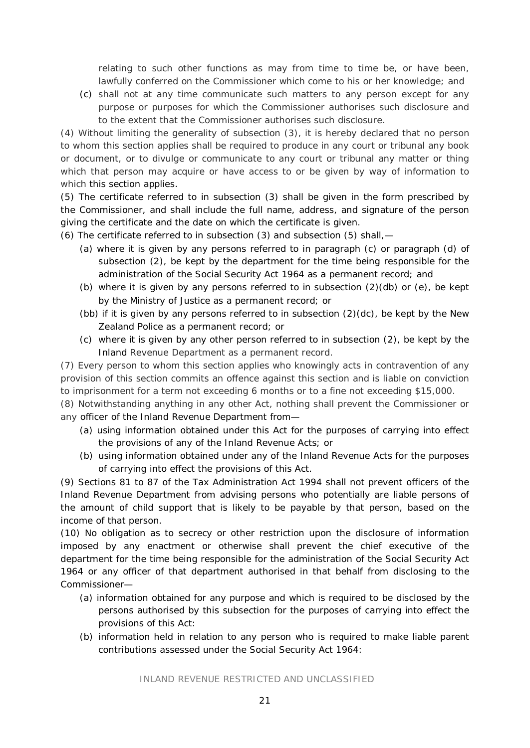relating to such other functions as may from time to time be, or have been, lawfully conferred on the Commissioner which come to his or her knowledge; and

(c) shall not at any time communicate such matters to any person except for any purpose or purposes for which the Commissioner authorises such disclosure and to the extent that the Commissioner authorises such disclosure.

(4) Without limiting the generality of subsection (3), it is hereby declared that no person to whom this section applies shall be required to produce in any court or tribunal any book or document, or to divulge or communicate to any court or tribunal any matter or thing which that person may acquire or have access to or be given by way of information to which this section applies.

(5) The certificate referred to in subsection (3) shall be given in the form prescribed by the Commissioner, and shall include the full name, address, and signature of the person giving the certificate and the date on which the certificate is given.

- (6) The certificate referred to in subsection (3) and subsection (5) shall,—
	- (a) where it is given by any persons referred to in paragraph (c) or paragraph (d) of subsection (2), be kept by the department for the time being responsible for the administration of the [Social Security Act 1964](http://legislation.govt.nz/act/public/1991/0142/latest/link.aspx?id=DLM359106) as a permanent record; and
	- (b) where it is given by any persons referred to in subsection  $(2)(db)$  or  $(e)$ , be kept by the Ministry of Justice as a permanent record; or
	- (bb) if it is given by any persons referred to in subsection  $(2)(dc)$ , be kept by the New Zealand Police as a permanent record; or
	- (c) where it is given by any other person referred to in subsection (2), be kept by the Inland Revenue Department as a permanent record.

(7) Every person to whom this section applies who knowingly acts in contravention of any provision of this section commits an offence against this section and is liable on conviction to imprisonment for a term not exceeding 6 months or to a fine not exceeding \$15,000.

(8) Notwithstanding anything in any other Act, nothing shall prevent the Commissioner or any officer of the Inland Revenue Department from—

- (a) using information obtained under this Act for the purposes of carrying into effect the provisions of any of the Inland Revenue Acts; or
- (b) using information obtained under any of the Inland Revenue Acts for the purposes of carrying into effect the provisions of this Act.

(9) [Sections 81 to 87](http://legislation.govt.nz/act/public/1991/0142/latest/link.aspx?id=DLM352409%23DLM352409) of the Tax Administration Act 1994 shall not prevent officers of the Inland Revenue Department from advising persons who potentially are liable persons of the amount of child support that is likely to be payable by that person, based on the income of that person.

(10) No obligation as to secrecy or other restriction upon the disclosure of information imposed by any enactment or otherwise shall prevent the chief executive of the department for the time being responsible for the administration of the [Social Security Act](http://legislation.govt.nz/act/public/1991/0142/latest/link.aspx?id=DLM359106)  [1964](http://legislation.govt.nz/act/public/1991/0142/latest/link.aspx?id=DLM359106) or any officer of that department authorised in that behalf from disclosing to the Commissioner—

- (a) information obtained for any purpose and which is required to be disclosed by the persons authorised by this subsection for the purposes of carrying into effect the provisions of this Act:
- (b) information held in relation to any person who is required to make liable parent contributions assessed under the [Social Security Act 1964:](http://legislation.govt.nz/act/public/1991/0142/latest/link.aspx?id=DLM359106)